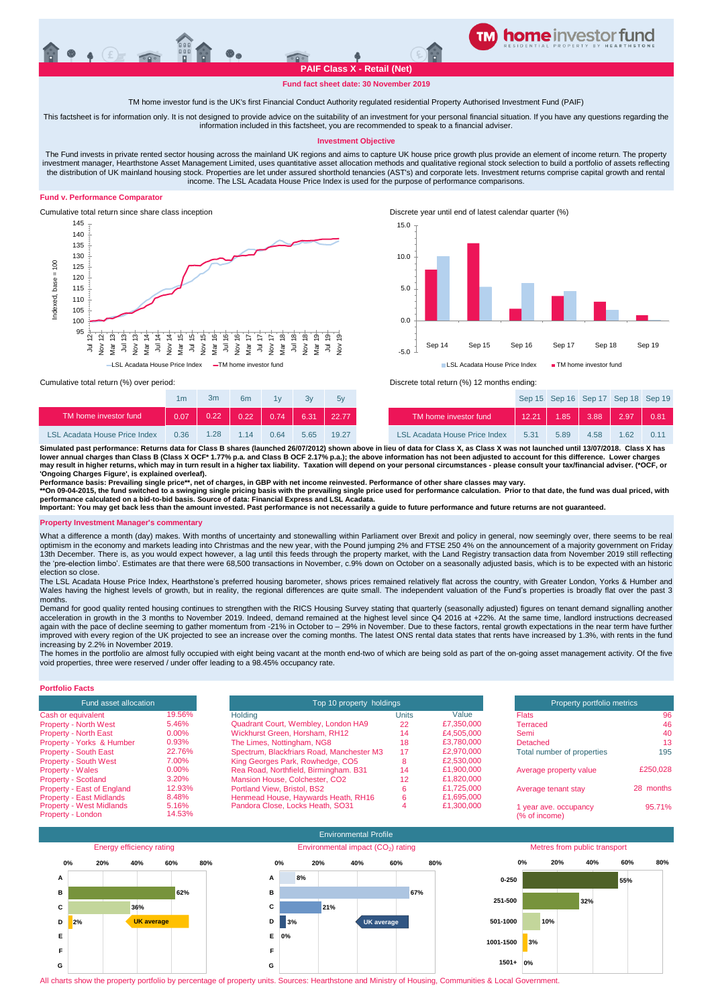# **PAIF Class X - Retail (Net)**

**TM home investor feeder fund**

### **Fund fact sheet date: 30 November 2019**

#### TM home investor fund is the UK's first Financial Conduct Authority regulated residential Property Authorised Investment Fund (PAIF)

This factsheet is for information only. It is not designed to provide advice on the suitability of an investment for your personal financial situation. If you have any questions regarding the information included in this factsheet, you are recommended to speak to a financial adviser.

#### **Investment Objective**

The Fund invests in private rented sector housing across the mainland UK regions and aims to capture UK house price growth plus provide an element of income return. The property investment manager, Hearthstone Asset Management Limited, uses quantitative asset allocation methods and qualitative regional stock selection to build a portfolio of assets reflecting the distribution of UK mainland housing stock. Properties are let under assured shorthold tenancies (AST's) and corporate lets. Investment returns comprise capital growth and rental income. The LSL Acadata House Price Index is used for the purpose of performance comparisons.

#### **Fund v. Performance Comparator**





|                                      | 1m   | 3m   | 6 <sub>m</sub> | 1v   |                  | 5v    |                                      |
|--------------------------------------|------|------|----------------|------|------------------|-------|--------------------------------------|
| TM home investor fund                | 0.07 | 0.22 | 0.22           | 0.74 | $\parallel$ 6.31 | 22.77 | TM home investor fund                |
| <b>LSL Acadata House Price Index</b> | 0.36 | 1.28 | 114            | 0.64 | 565              | 19.27 | <b>LSL Acadata House Price Index</b> |

Cumulative total return (%) over period: <br>
Cumulative total return (%) over period: <br>
Discrete total return (%) 12 months ending:

| 1 <sub>m</sub> | 3m   | 6m    | 1v   | 3v   | 5v    |                                      |       |      | Sep 15 Sep 16 Sep 17 Sep 18 Sep 19 |      |      |
|----------------|------|-------|------|------|-------|--------------------------------------|-------|------|------------------------------------|------|------|
| 0.07           |      |       |      |      |       | TM home investor fund                | 12.21 | 1.85 | $3.88$ 2.97 0.81                   |      |      |
| 0.36           | 1.28 | 1 1 4 | 0.64 | 5.65 | 19.27 | <b>LSL Acadata House Price Index</b> | 5.31  | 5.89 | 4.58                               | 1.62 | 0.11 |

Simulated past performance: Returns data for Class B shares (launched 26/07/2012) shown above in lieu of data for Class X, as Class X was not launched until 13/07/2018. Class X has<br>Iower annual charges than Class B (Clas **may result in higher returns, which may in turn result in a higher tax liability. Taxation will depend on your personal circumstances - please consult your tax/financial adviser. (\*OCF, or 'Ongoing Charges Figure', is explained overleaf).**

**Performance basis: Prevailing single price\*\*, net of charges, in GBP with net income reinvested. Performance of other share classes may vary.**

\*\*On 09-04-2015, the fund switched to a swinging single pricing basis with the prevailing single price used for performance calculation. Prior to that date, the fund was dual priced, with<br>performance calculated on a bid-t

**Important: You may get back less than the amount invested. Past performance is not necessarily a guide to future performance and future returns are not guaranteed.**

#### **Property Investment Manager's commentary**

What a difference a month (day) makes. With months of uncertainty and stonewalling within Parliament over Brexit and policy in general, now seemingly over, there seems to be real optimism in the economy and markets leading into Christmas and the new year, with the Pound jumping 2% and FTSE 250 4% on the announcement of a majority government on Friday<br>13th December. There is, as you would expect how the 'pre-election limbo'. Estimates are that there were 68,500 transactions in November, c.9% down on October on a seasonally adjusted basis, which is to be expected with an historic election so close.

The LSL Acadata House Price Index, Hearthstone's preferred housing barometer, shows prices remained relatively flat across the country, with Greater London, Yorks & Humber and Wales having the highest levels of growth, but in reality, the regional differences are quite small. The independent valuation of the Fund's properties is broadly flat over the past 3 months.

Demand for good quality rented housing continues to strengthen with the RICS Housing Survey stating that quarterly (seasonally adjusted) figures on tenant demand signalling another acceleration in growth in the 3 months to November 2019. Indeed, demand remained at the highest level since Q4 2016 at +22%. At the same time, landlord instructions decreased again with the pace of decline seeming to gather momentum from -21% in October to - 29% in November. Due to these factors, rental growth expectations in the near term have further improved with every region of the UK projected to see an increase over the coming months. The latest ONS rental data states that rents have increased by 1.3%, with rents in the fund increasing by 2.2% in November 2019.

The homes in the portfolio are almost fully occupied with eight being vacant at the month end-two of which are being sold as part of the on-going asset management activity. Of the five void properties, three were reserved / under offer leading to a 98.45% occupancy rate.

### **Portfolio Facts**

| <b>Fund asset allocation</b>    |        |                |
|---------------------------------|--------|----------------|
| Cash or equivalent              | 19.56% | Holding        |
| <b>Property - North West</b>    | 5.46%  | Quadrar        |
| <b>Property - North East</b>    | 0.00%  | Wickhur        |
| Property - Yorks & Humber       | 0.93%  | The Lim        |
| <b>Property - South East</b>    | 22.76% | Spectru        |
| <b>Property - South West</b>    | 7.00%  | <b>King Ge</b> |
| <b>Property - Wales</b>         | 0.00%  | Rea Ro         |
| <b>Property - Scotland</b>      | 3.20%  | <b>Mansior</b> |
| Property - East of England      | 12.93% | Portland       |
| <b>Property - East Midlands</b> | 8.48%  | Henmea         |
| <b>Property - West Midlands</b> | 5.16%  | Pandora        |
| Property - London               | 14.53% |                |

| Fund asset allocation                                |                 | Top 10 property holdings                  |              |            | Property portfolio metrics             |           |
|------------------------------------------------------|-----------------|-------------------------------------------|--------------|------------|----------------------------------------|-----------|
| Cash or equivalent                                   | 19.56%          | Holdina                                   | <b>Units</b> | Value      | <b>Flats</b>                           |           |
| <b>Property - North West</b>                         | 5.46%           | Quadrant Court, Wembley, London HA9       | 22           | £7,350,000 | Terraced                               |           |
| <b>Property - North East</b>                         | $0.00\%$        | Wickhurst Green, Horsham, RH12            | 14           | £4,505,000 | Semi                                   |           |
| Property - Yorks & Humber                            | 0.93%           | The Limes, Nottingham, NG8                | 18           | £3.780.000 | <b>Detached</b>                        |           |
| <b>Property - South East</b>                         | 22.76%          | Spectrum, Blackfriars Road, Manchester M3 | 17           | £2,970,000 | Total number of properties             |           |
| <b>Property - South West</b>                         | 7.00%           | King Georges Park, Rowhedge, CO5          | ×            | £2,530,000 |                                        |           |
| <b>Property - Wales</b>                              | $0.00\%$        | Rea Road, Northfield, Birmingham. B31     | 14           | £1,900,000 | Average property value                 | £250,028  |
| <b>Property - Scotland</b>                           | 3.20%           | Mansion House, Colchester, CO2            | 12           | £1.820.000 |                                        |           |
| Property - East of England                           | 12.93%          | <b>Portland View, Bristol, BS2</b>        |              | £1.725.000 | Average tenant stay                    | 28 months |
| <b>Property - East Midlands</b>                      | 8.48%           | Henmead House, Haywards Heath, RH16       | 6            | £1.695.000 |                                        |           |
| <b>Property - West Midlands</b><br>Property - London | 5.16%<br>14.53% | Pandora Close, Locks Heath, SO31          |              | £1,300,000 | 1 year ave. occupancy<br>(% of income) | 95.71%    |



All charts show the property portfolio by percentage of property units. Sources: Hearthstone and Ministry of Housing, Communities & Local Government.